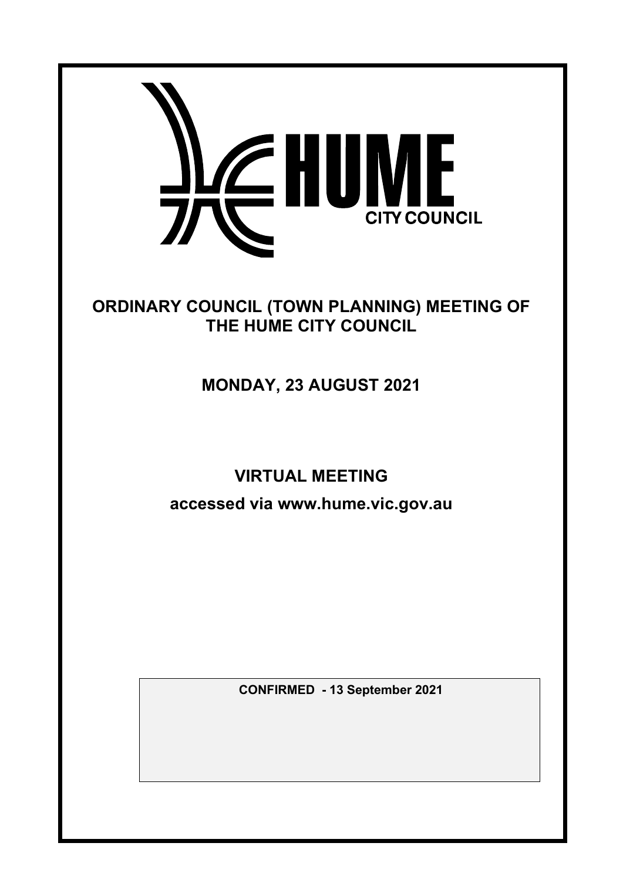

# ORDINARY COUNCIL (TOWN PLANNING) MEETING OF THE HUME CITY COUNCIL

# MONDAY, 23 AUGUST 2021

# VIRTUAL MEETING

accessed via www.hume.vic.gov.au

CONFIRMED **- 13 September 2021**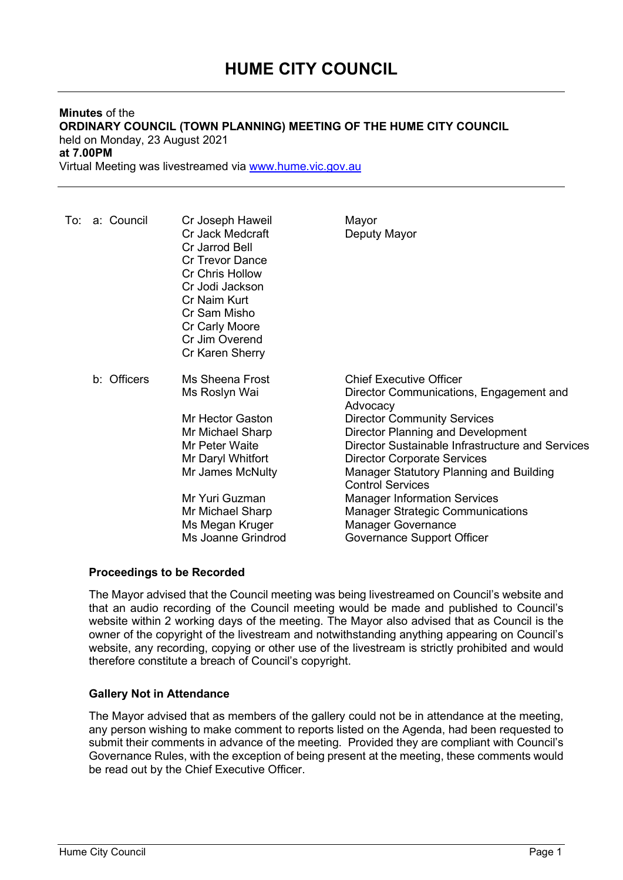# Minutes of the ORDINARY COUNCIL (TOWN PLANNING) MEETING OF THE HUME CITY COUNCIL held on Monday, 23 August 2021 at 7.00PM

Virtual Meeting was livestreamed via www.hume.vic.gov.au

| To: a: Council | Cr Joseph Haweil<br>Cr Jack Medcraft<br>Cr Jarrod Bell<br><b>Cr Trevor Dance</b><br><b>Cr Chris Hollow</b><br>Cr Jodi Jackson<br>Cr Naim Kurt<br>Cr Sam Misho<br>Cr Carly Moore<br>Cr Jim Overend<br>Cr Karen Sherry | Mayor<br>Deputy Mayor                                                                                                                                                                                                                                                                                                                                                                                                                                                                |
|----------------|----------------------------------------------------------------------------------------------------------------------------------------------------------------------------------------------------------------------|--------------------------------------------------------------------------------------------------------------------------------------------------------------------------------------------------------------------------------------------------------------------------------------------------------------------------------------------------------------------------------------------------------------------------------------------------------------------------------------|
| b: Officers    | Ms Sheena Frost<br>Ms Roslyn Wai<br>Mr Hector Gaston<br>Mr Michael Sharp<br>Mr Peter Waite<br>Mr Daryl Whitfort<br>Mr James McNulty<br>Mr Yuri Guzman<br>Mr Michael Sharp<br>Ms Megan Kruger<br>Ms Joanne Grindrod   | <b>Chief Executive Officer</b><br>Director Communications, Engagement and<br>Advocacy<br><b>Director Community Services</b><br>Director Planning and Development<br>Director Sustainable Infrastructure and Services<br><b>Director Corporate Services</b><br><b>Manager Statutory Planning and Building</b><br><b>Control Services</b><br><b>Manager Information Services</b><br><b>Manager Strategic Communications</b><br><b>Manager Governance</b><br>Governance Support Officer |

## Proceedings to be Recorded

The Mayor advised that the Council meeting was being livestreamed on Council's website and that an audio recording of the Council meeting would be made and published to Council's website within 2 working days of the meeting. The Mayor also advised that as Council is the owner of the copyright of the livestream and notwithstanding anything appearing on Council's website, any recording, copying or other use of the livestream is strictly prohibited and would therefore constitute a breach of Council's copyright.

## Gallery Not in Attendance

The Mayor advised that as members of the gallery could not be in attendance at the meeting, any person wishing to make comment to reports listed on the Agenda, had been requested to submit their comments in advance of the meeting. Provided they are compliant with Council's Governance Rules, with the exception of being present at the meeting, these comments would be read out by the Chief Executive Officer.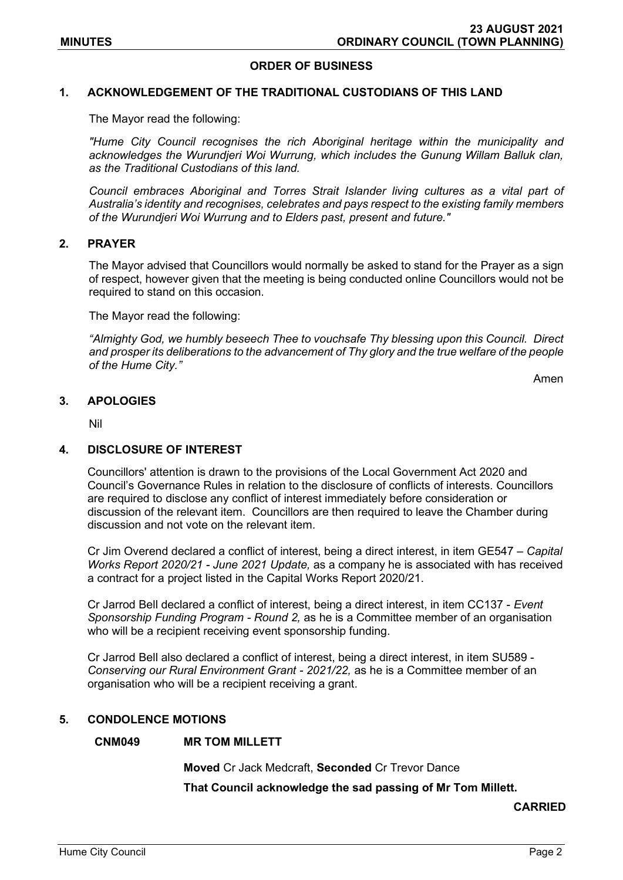## ORDER OF BUSINESS

#### 1. ACKNOWLEDGEMENT OF THE TRADITIONAL CUSTODIANS OF THIS LAND

The Mayor read the following:

"Hume City Council recognises the rich Aboriginal heritage within the municipality and acknowledges the Wurundjeri Woi Wurrung, which includes the Gunung Willam Balluk clan, as the Traditional Custodians of this land.

Council embraces Aboriginal and Torres Strait Islander living cultures as a vital part of Australia's identity and recognises, celebrates and pays respect to the existing family members of the Wurundjeri Woi Wurrung and to Elders past, present and future."

## 2. PRAYER

The Mayor advised that Councillors would normally be asked to stand for the Prayer as a sign of respect, however given that the meeting is being conducted online Councillors would not be required to stand on this occasion.

The Mayor read the following:

"Almighty God, we humbly beseech Thee to vouchsafe Thy blessing upon this Council. Direct and prosper its deliberations to the advancement of Thy glory and the true welfare of the people of the Hume City."

Amen

#### 3. APOLOGIES

Nil

#### 4. DISCLOSURE OF INTEREST

Councillors' attention is drawn to the provisions of the Local Government Act 2020 and Council's Governance Rules in relation to the disclosure of conflicts of interests. Councillors are required to disclose any conflict of interest immediately before consideration or discussion of the relevant item. Councillors are then required to leave the Chamber during discussion and not vote on the relevant item.

Cr Jim Overend declared a conflict of interest, being a direct interest, in item GE547 – Capital Works Report 2020/21 - June 2021 Update, as a company he is associated with has received a contract for a project listed in the Capital Works Report 2020/21.

Cr Jarrod Bell declared a conflict of interest, being a direct interest, in item CC137 - Event Sponsorship Funding Program - Round 2, as he is a Committee member of an organisation who will be a recipient receiving event sponsorship funding.

Cr Jarrod Bell also declared a conflict of interest, being a direct interest, in item SU589 - Conserving our Rural Environment Grant - 2021/22, as he is a Committee member of an organisation who will be a recipient receiving a grant.

#### 5. CONDOLENCE MOTIONS

#### CNM049 MR TOM MILLETT

Moved Cr Jack Medcraft, Seconded Cr Trevor Dance

That Council acknowledge the sad passing of Mr Tom Millett.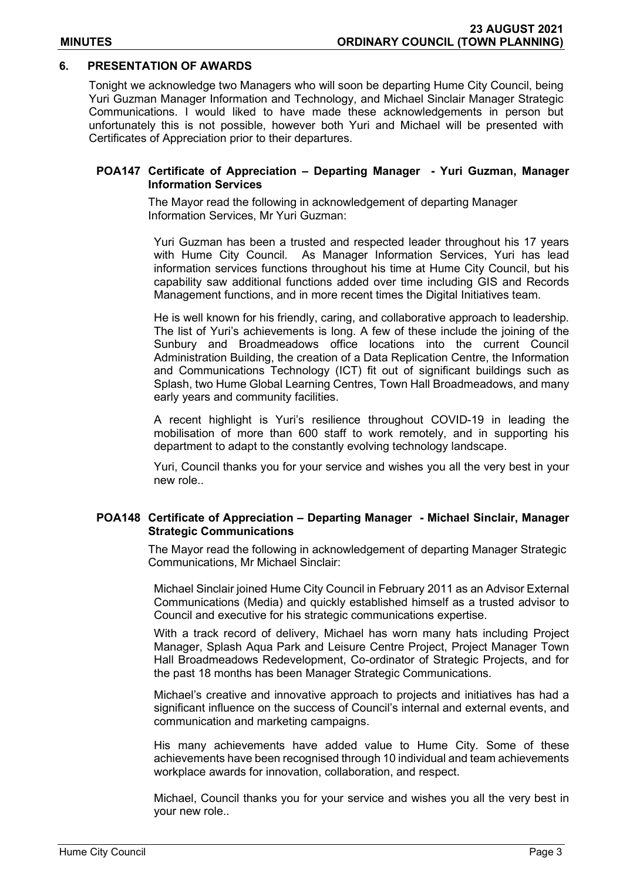## 6. PRESENTATION OF AWARDS

Tonight we acknowledge two Managers who will soon be departing Hume City Council, being Yuri Guzman Manager Information and Technology, and Michael Sinclair Manager Strategic Communications. I would liked to have made these acknowledgements in person but unfortunately this is not possible, however both Yuri and Michael will be presented with Certificates of Appreciation prior to their departures.

## POA147 Certificate of Appreciation – Departing Manager - Yuri Guzman, Manager Information Services

The Mayor read the following in acknowledgement of departing Manager Information Services, Mr Yuri Guzman:

Yuri Guzman has been a trusted and respected leader throughout his 17 years with Hume City Council. As Manager Information Services, Yuri has lead information services functions throughout his time at Hume City Council, but his capability saw additional functions added over time including GIS and Records Management functions, and in more recent times the Digital Initiatives team.

He is well known for his friendly, caring, and collaborative approach to leadership. The list of Yuri's achievements is long. A few of these include the joining of the Sunbury and Broadmeadows office locations into the current Council Administration Building, the creation of a Data Replication Centre, the Information and Communications Technology (ICT) fit out of significant buildings such as Splash, two Hume Global Learning Centres, Town Hall Broadmeadows, and many early years and community facilities.

A recent highlight is Yuri's resilience throughout COVID-19 in leading the mobilisation of more than 600 staff to work remotely, and in supporting his department to adapt to the constantly evolving technology landscape.

Yuri, Council thanks you for your service and wishes you all the very best in your new role..

## POA148 Certificate of Appreciation – Departing Manager - Michael Sinclair, Manager Strategic Communications

The Mayor read the following in acknowledgement of departing Manager Strategic Communications, Mr Michael Sinclair:

Michael Sinclair joined Hume City Council in February 2011 as an Advisor External Communications (Media) and quickly established himself as a trusted advisor to Council and executive for his strategic communications expertise.

With a track record of delivery, Michael has worn many hats including Project Manager, Splash Aqua Park and Leisure Centre Project, Project Manager Town Hall Broadmeadows Redevelopment, Co-ordinator of Strategic Projects, and for the past 18 months has been Manager Strategic Communications.

Michael's creative and innovative approach to projects and initiatives has had a significant influence on the success of Council's internal and external events, and communication and marketing campaigns.

His many achievements have added value to Hume City. Some of these achievements have been recognised through 10 individual and team achievements workplace awards for innovation, collaboration, and respect.

Michael, Council thanks you for your service and wishes you all the very best in your new role..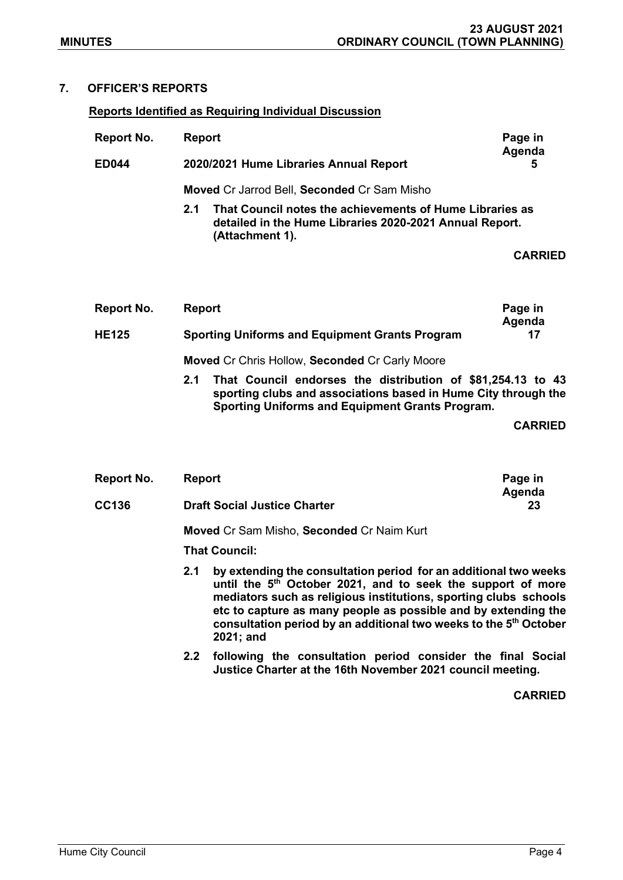# 7. OFFICER'S REPORTS

## Reports Identified as Requiring Individual Discussion

| Report No.   | <b>Report</b> |                                                                                                                                        | Page in<br>Agenda |  |  |  |
|--------------|---------------|----------------------------------------------------------------------------------------------------------------------------------------|-------------------|--|--|--|
| <b>ED044</b> |               | 2020/2021 Hume Libraries Annual Report                                                                                                 |                   |  |  |  |
|              |               | <b>Moved Cr Jarrod Bell, Seconded Cr Sam Misho</b>                                                                                     |                   |  |  |  |
|              | 2.1           | That Council notes the achievements of Hume Libraries as<br>detailed in the Hume Libraries 2020-2021 Annual Report.<br>(Attachment 1). |                   |  |  |  |
|              |               |                                                                                                                                        | <b>CARRIED</b>    |  |  |  |
|              |               |                                                                                                                                        |                   |  |  |  |

| Report No.   | Page in<br><b>Report</b><br>Agenda                                 |
|--------------|--------------------------------------------------------------------|
| <b>HE125</b> | <b>Sporting Uniforms and Equipment Grants Program</b><br>17        |
|              | Moved Cr Chris Hollow, Seconded Cr Carly Moore                     |
|              | That Council endorses the distribution of \$81,254.13 to 43<br>2.1 |

sporting clubs and associations based in Hume City through the Sporting Uniforms and Equipment Grants Program.

CARRIED

| Report No.   | <b>Report</b>                                                                                                                                                                                                                                                                                                                                                             | Page in<br>Agenda |  |  |
|--------------|---------------------------------------------------------------------------------------------------------------------------------------------------------------------------------------------------------------------------------------------------------------------------------------------------------------------------------------------------------------------------|-------------------|--|--|
| <b>CC136</b> | <b>Draft Social Justice Charter</b><br>23                                                                                                                                                                                                                                                                                                                                 |                   |  |  |
|              | <b>Moved Cr Sam Misho, Seconded Cr Naim Kurt</b><br><b>That Council:</b>                                                                                                                                                                                                                                                                                                  |                   |  |  |
|              | by extending the consultation period for an additional two weeks<br>2.1<br>until the 5 <sup>th</sup> October 2021, and to seek the support of more<br>mediators such as religious institutions, sporting clubs schools<br>etc to capture as many people as possible and by extending the<br>consultation period by an additional two weeks to the 5 <sup>th</sup> October |                   |  |  |

2021; and

2.2 following the consultation period consider the final Social Justice Charter at the 16th November 2021 council meeting.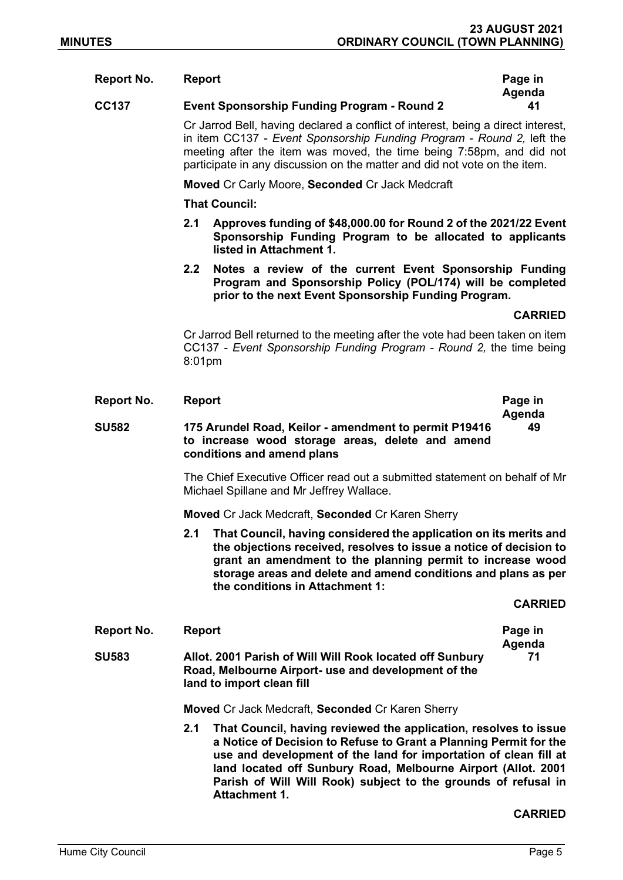#### Report No. Report **Report** Report **Page in**

## CC137 Event Sponsorship Funding Program - Round 2 41

 Cr Jarrod Bell, having declared a conflict of interest, being a direct interest, in item CC137 - Event Sponsorship Funding Program - Round 2, left the meeting after the item was moved, the time being 7:58pm, and did not participate in any discussion on the matter and did not vote on the item.

Moved Cr Carly Moore, Seconded Cr Jack Medcraft

That Council:

- 2.1 Approves funding of \$48,000.00 for Round 2 of the 2021/22 Event Sponsorship Funding Program to be allocated to applicants listed in Attachment 1.
- 2.2 Notes a review of the current Event Sponsorship Funding Program and Sponsorship Policy (POL/174) will be completed prior to the next Event Sponsorship Funding Program.

**CARRIED** 

Agenda

Cr Jarrod Bell returned to the meeting after the vote had been taken on item CC137 - Event Sponsorship Funding Program - Round 2, the time being 8:01pm

| <b>Report No.</b> | <b>Report</b>                                                                                                                                                                                                                                                                                                     | Page in<br>Agenda |
|-------------------|-------------------------------------------------------------------------------------------------------------------------------------------------------------------------------------------------------------------------------------------------------------------------------------------------------------------|-------------------|
| SU582             | 175 Arundel Road, Keilor - amendment to permit P19416<br>to increase wood storage areas, delete and amend<br>conditions and amend plans                                                                                                                                                                           | 49                |
|                   | The Chief Executive Officer read out a submitted statement on behalf of Mr<br>Michael Spillane and Mr Jeffrey Wallace.                                                                                                                                                                                            |                   |
|                   | Moved Cr Jack Medcraft, Seconded Cr Karen Sherry                                                                                                                                                                                                                                                                  |                   |
|                   | That Council, having considered the application on its merits and<br>2.1<br>the objections received, resolves to issue a notice of decision to<br>grant an amendment to the planning permit to increase wood<br>storage areas and delete and amend conditions and plans as per<br>the conditions in Attachment 1: |                   |
|                   |                                                                                                                                                                                                                                                                                                                   | <b>CARRIED</b>    |
| <b>Report No.</b> | <b>Report</b>                                                                                                                                                                                                                                                                                                     | Page in<br>Agenda |
| SU583             | Allot. 2001 Parish of Will Will Rook located off Sunbury<br>Road, Melbourne Airport- use and development of the<br>land to import clean fill                                                                                                                                                                      | 71                |

Moved Cr Jack Medcraft, Seconded Cr Karen Sherry

2.1 That Council, having reviewed the application, resolves to issue a Notice of Decision to Refuse to Grant a Planning Permit for the use and development of the land for importation of clean fill at land located off Sunbury Road, Melbourne Airport (Allot. 2001 Parish of Will Will Rook) subject to the grounds of refusal in Attachment 1.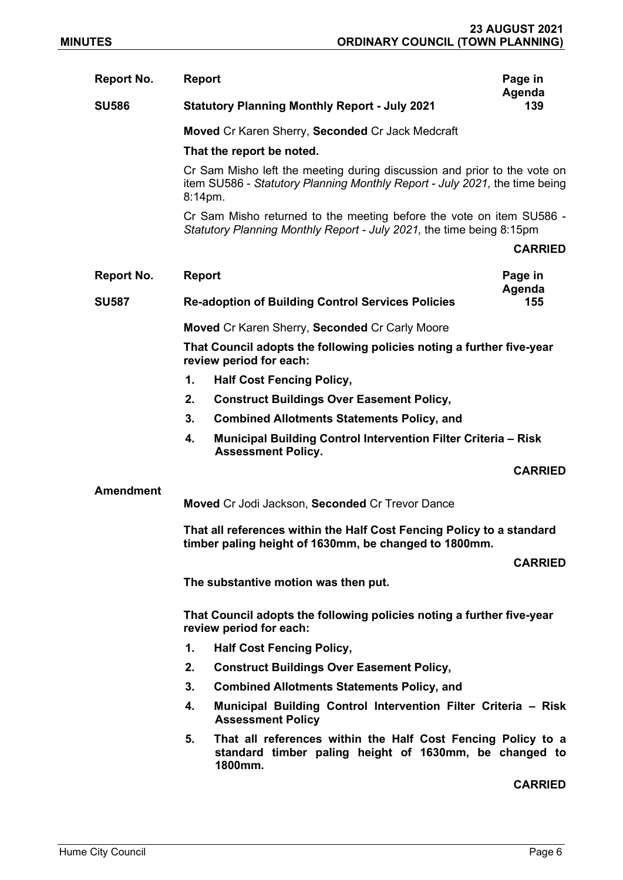| <b>Report No.</b> | <b>Report</b>                                                                                                                                                        | Page in<br>Agenda |  |  |  |
|-------------------|----------------------------------------------------------------------------------------------------------------------------------------------------------------------|-------------------|--|--|--|
| <b>SU586</b>      | <b>Statutory Planning Monthly Report - July 2021</b>                                                                                                                 | 139               |  |  |  |
|                   | Moved Cr Karen Sherry, Seconded Cr Jack Medcraft                                                                                                                     |                   |  |  |  |
|                   | That the report be noted.                                                                                                                                            |                   |  |  |  |
|                   | Cr Sam Misho left the meeting during discussion and prior to the vote on<br>item SU586 - Statutory Planning Monthly Report - July 2021, the time being<br>$8:14$ pm. |                   |  |  |  |
|                   | Cr Sam Misho returned to the meeting before the vote on item SU586 -<br>Statutory Planning Monthly Report - July 2021, the time being 8:15pm                         |                   |  |  |  |
|                   |                                                                                                                                                                      | <b>CARRIED</b>    |  |  |  |
| <b>Report No.</b> | <b>Report</b>                                                                                                                                                        | Page in           |  |  |  |
| <b>SU587</b>      | <b>Re-adoption of Building Control Services Policies</b>                                                                                                             | Agenda<br>155     |  |  |  |
|                   | <b>Moved Cr Karen Sherry, Seconded Cr Carly Moore</b>                                                                                                                |                   |  |  |  |
|                   | That Council adopts the following policies noting a further five-year<br>review period for each:                                                                     |                   |  |  |  |
|                   | 1.<br><b>Half Cost Fencing Policy,</b>                                                                                                                               |                   |  |  |  |
|                   | 2.<br><b>Construct Buildings Over Easement Policy,</b>                                                                                                               |                   |  |  |  |
|                   | 3.<br><b>Combined Allotments Statements Policy, and</b>                                                                                                              |                   |  |  |  |
|                   | Municipal Building Control Intervention Filter Criteria - Risk<br>4.<br><b>Assessment Policy.</b>                                                                    |                   |  |  |  |
|                   |                                                                                                                                                                      | <b>CARRIED</b>    |  |  |  |
| <b>Amendment</b>  |                                                                                                                                                                      |                   |  |  |  |
|                   | Moved Cr Jodi Jackson, Seconded Cr Trevor Dance                                                                                                                      |                   |  |  |  |
|                   | That all references within the Half Cost Fencing Policy to a standard<br>timber paling height of 1630mm, be changed to 1800mm.                                       |                   |  |  |  |
|                   |                                                                                                                                                                      | <b>CARRIED</b>    |  |  |  |
|                   | The substantive motion was then put.                                                                                                                                 |                   |  |  |  |
|                   | That Council adopts the following policies noting a further five-year<br>review period for each:                                                                     |                   |  |  |  |
|                   | 1.<br><b>Half Cost Fencing Policy,</b>                                                                                                                               |                   |  |  |  |
|                   | 2.<br><b>Construct Buildings Over Easement Policy,</b>                                                                                                               |                   |  |  |  |
|                   | 3.<br><b>Combined Allotments Statements Policy, and</b>                                                                                                              |                   |  |  |  |
|                   | Municipal Building Control Intervention Filter Criteria - Risk<br>4.<br><b>Assessment Policy</b>                                                                     |                   |  |  |  |
|                   | That all references within the Half Cost Fencing Policy to a<br>5.<br>standard timber paling height of 1630mm, be changed to<br>1800mm.                              |                   |  |  |  |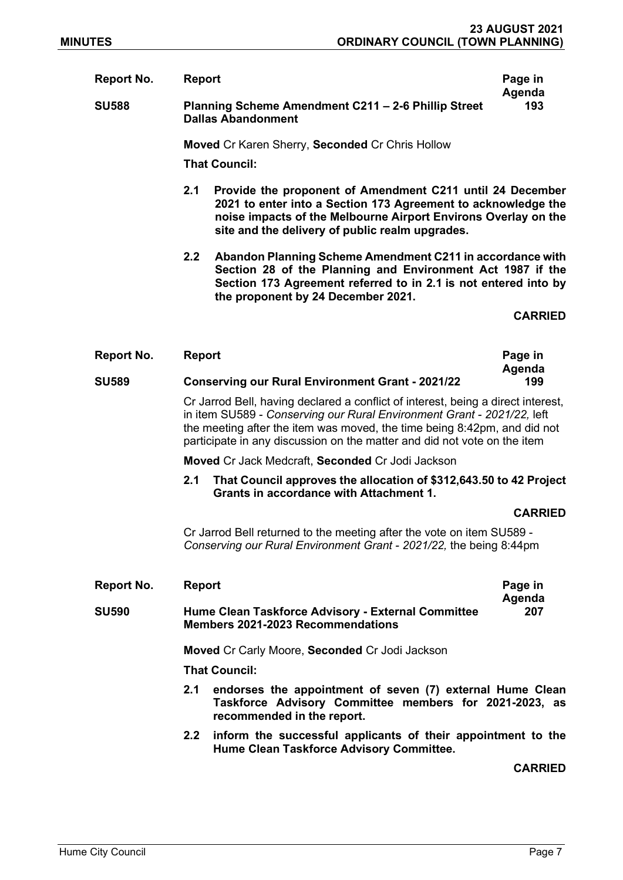Report No. Beport **Report** Report **Page in** Agenda SU588 Planning Scheme Amendment C211 – 2-6 Phillip Street Dallas Abandonment 193

Moved Cr Karen Sherry, Seconded Cr Chris Hollow

That Council:

- 2.1 Provide the proponent of Amendment C211 until 24 December 2021 to enter into a Section 173 Agreement to acknowledge the noise impacts of the Melbourne Airport Environs Overlay on the site and the delivery of public realm upgrades.
- 2.2 Abandon Planning Scheme Amendment C211 in accordance with Section 28 of the Planning and Environment Act 1987 if the Section 173 Agreement referred to in 2.1 is not entered into by the proponent by 24 December 2021.

CARRIED

| Report No.   | Report                                                  | Page in       |
|--------------|---------------------------------------------------------|---------------|
| <b>SU589</b> | <b>Conserving our Rural Environment Grant - 2021/22</b> | Agenda<br>199 |

 Cr Jarrod Bell, having declared a conflict of interest, being a direct interest, in item SU589 - Conserving our Rural Environment Grant - 2021/22, left the meeting after the item was moved, the time being 8:42pm, and did not participate in any discussion on the matter and did not vote on the item

Moved Cr Jack Medcraft, Seconded Cr Jodi Jackson

2.1 That Council approves the allocation of \$312,643.50 to 42 Project Grants in accordance with Attachment 1.

#### CARRIED

 Cr Jarrod Bell returned to the meeting after the vote on item SU589 - Conserving our Rural Environment Grant - 2021/22, the being 8:44pm

| Report No.   | <b>Report</b>                                                                                                                                            | Page in        |  |  |  |
|--------------|----------------------------------------------------------------------------------------------------------------------------------------------------------|----------------|--|--|--|
| <b>SU590</b> | Agenda<br><b>Hume Clean Taskforce Advisory - External Committee</b><br>207<br><b>Members 2021-2023 Recommendations</b>                                   |                |  |  |  |
|              | <b>Moved Cr Carly Moore, Seconded Cr Jodi Jackson</b>                                                                                                    |                |  |  |  |
|              | <b>That Council:</b>                                                                                                                                     |                |  |  |  |
|              | endorses the appointment of seven (7) external Hume Clean<br>2.1<br>Taskforce Advisory Committee members for 2021-2023, as<br>recommended in the report. |                |  |  |  |
|              | 2.2 inform the successful applicants of their appointment to the<br>Hume Clean Taskforce Advisory Committee.                                             |                |  |  |  |
|              |                                                                                                                                                          | <b>CARRIED</b> |  |  |  |

Hume City Council **Page 7**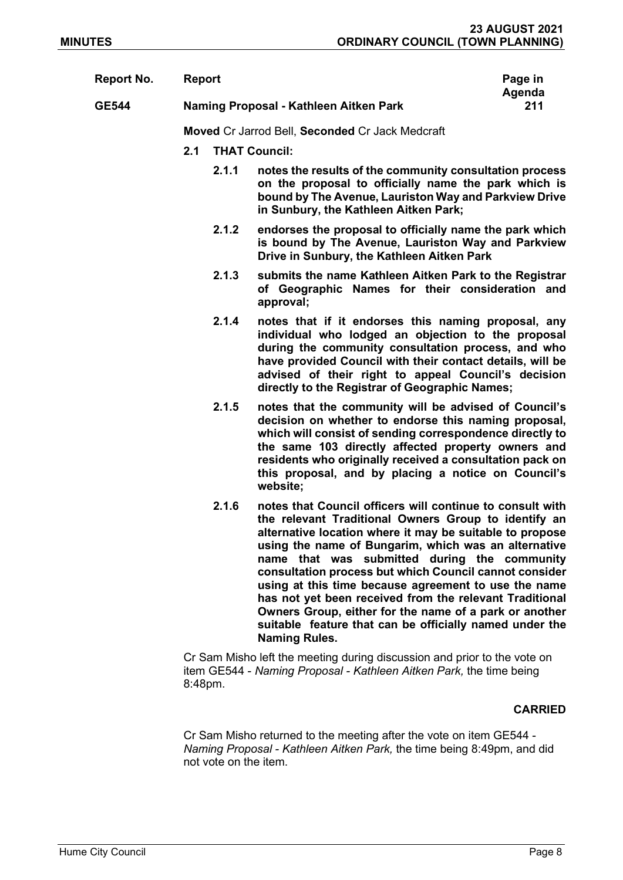| Report No.   | <b>Report</b> |                      |                                                                                                                                                                                                                                                                                                                                                                                                                                                                                                                                                                                                                 | Page in       |  |  |
|--------------|---------------|----------------------|-----------------------------------------------------------------------------------------------------------------------------------------------------------------------------------------------------------------------------------------------------------------------------------------------------------------------------------------------------------------------------------------------------------------------------------------------------------------------------------------------------------------------------------------------------------------------------------------------------------------|---------------|--|--|
| <b>GE544</b> |               |                      | Naming Proposal - Kathleen Aitken Park                                                                                                                                                                                                                                                                                                                                                                                                                                                                                                                                                                          | Agenda<br>211 |  |  |
|              |               |                      | Moved Cr Jarrod Bell, Seconded Cr Jack Medcraft                                                                                                                                                                                                                                                                                                                                                                                                                                                                                                                                                                 |               |  |  |
|              | 2.1           | <b>THAT Council:</b> |                                                                                                                                                                                                                                                                                                                                                                                                                                                                                                                                                                                                                 |               |  |  |
|              |               | 2.1.1                | notes the results of the community consultation process<br>on the proposal to officially name the park which is<br>bound by The Avenue, Lauriston Way and Parkview Drive<br>in Sunbury, the Kathleen Aitken Park;                                                                                                                                                                                                                                                                                                                                                                                               |               |  |  |
|              |               | 2.1.2                | endorses the proposal to officially name the park which<br>is bound by The Avenue, Lauriston Way and Parkview<br>Drive in Sunbury, the Kathleen Aitken Park                                                                                                                                                                                                                                                                                                                                                                                                                                                     |               |  |  |
|              |               | 2.1.3                | submits the name Kathleen Aitken Park to the Registrar<br>of Geographic Names for their consideration and<br>approval;                                                                                                                                                                                                                                                                                                                                                                                                                                                                                          |               |  |  |
|              |               | 2.1.4                | notes that if it endorses this naming proposal, any<br>individual who lodged an objection to the proposal<br>during the community consultation process, and who<br>have provided Council with their contact details, will be<br>advised of their right to appeal Council's decision<br>directly to the Registrar of Geographic Names;                                                                                                                                                                                                                                                                           |               |  |  |
|              |               | 2.1.5                | notes that the community will be advised of Council's<br>decision on whether to endorse this naming proposal,<br>which will consist of sending correspondence directly to<br>the same 103 directly affected property owners and<br>residents who originally received a consultation pack on<br>this proposal, and by placing a notice on Council's<br>website;                                                                                                                                                                                                                                                  |               |  |  |
|              |               | 2.1.6                | notes that Council officers will continue to consult with<br>the relevant Traditional Owners Group to identify an<br>alternative location where it may be suitable to propose<br>using the name of Bungarim, which was an alternative<br>name that was submitted during the community<br>consultation process but which Council cannot consider<br>using at this time because agreement to use the name<br>has not yet been received from the relevant Traditional<br>Owners Group, either for the name of a park or another<br>suitable feature that can be officially named under the<br><b>Naming Rules.</b> |               |  |  |
|              |               |                      | Cr Sam Misho left the meeting during discussion and prior to the vote on<br>item GE544 - Naming Proposal - Kathleen Aitken Park, the time being                                                                                                                                                                                                                                                                                                                                                                                                                                                                 |               |  |  |

8:48pm.

# **CARRIED**

Cr Sam Misho returned to the meeting after the vote on item GE544 - Naming Proposal - Kathleen Aitken Park, the time being 8:49pm, and did not vote on the item.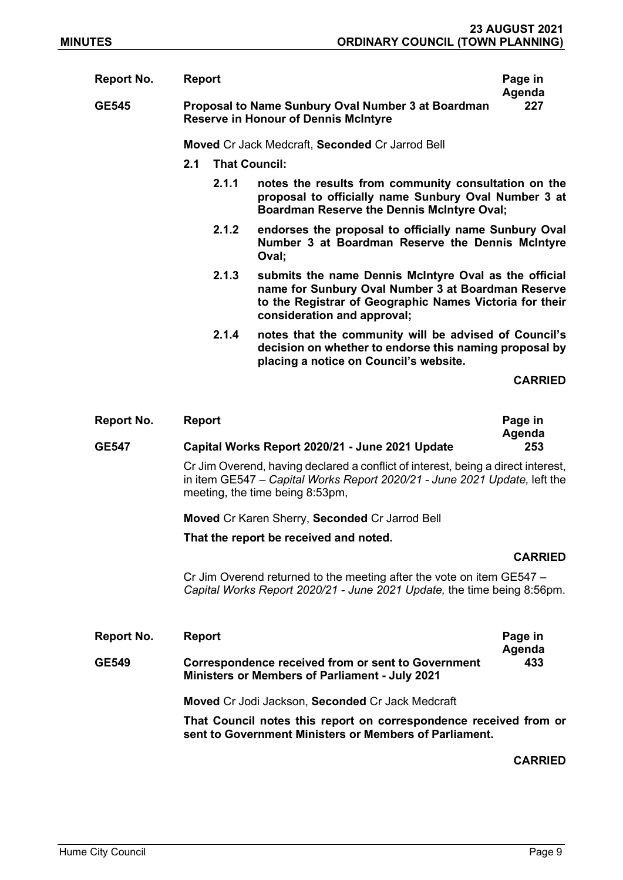| <b>Report No.</b><br><b>GE545</b> | <b>Report</b> |                                                        | Proposal to Name Sunbury Oval Number 3 at Boardman<br><b>Reserve in Honour of Dennis McIntyre</b>                                                                                                     | Page in<br>Agenda<br>227 |
|-----------------------------------|---------------|--------------------------------------------------------|-------------------------------------------------------------------------------------------------------------------------------------------------------------------------------------------------------|--------------------------|
|                                   |               | <b>Moved Cr Jack Medcraft, Seconded Cr Jarrod Bell</b> |                                                                                                                                                                                                       |                          |
|                                   | 2.1           | <b>That Council:</b>                                   |                                                                                                                                                                                                       |                          |
|                                   |               | 2.1.1                                                  | notes the results from community consultation on the<br>proposal to officially name Sunbury Oval Number 3 at<br><b>Boardman Reserve the Dennis McIntyre Oval;</b>                                     |                          |
|                                   |               | 2.1.2                                                  | endorses the proposal to officially name Sunbury Oval<br>Number 3 at Boardman Reserve the Dennis McIntyre<br>Oval;                                                                                    |                          |
|                                   |               | 2.1.3                                                  | submits the name Dennis McIntyre Oval as the official<br>name for Sunbury Oval Number 3 at Boardman Reserve<br>to the Registrar of Geographic Names Victoria for their<br>consideration and approval; |                          |
|                                   |               | 2.1.4                                                  | notes that the community will be advised of Council's<br>decision on whether to endorse this naming proposal by<br>placing a notice on Council's website.                                             |                          |
|                                   |               |                                                        |                                                                                                                                                                                                       | <b>CARRIED</b>           |

| <b>Report No.</b> | <b>Report</b>                                                                                                                                                                                    | Page in<br>Agenda |  |  |  |
|-------------------|--------------------------------------------------------------------------------------------------------------------------------------------------------------------------------------------------|-------------------|--|--|--|
| <b>GE547</b>      | Capital Works Report 2020/21 - June 2021 Update                                                                                                                                                  | 253               |  |  |  |
|                   | Cr Jim Overend, having declared a conflict of interest, being a direct interest,<br>in item GE547 – Capital Works Report 2020/21 - June 2021 Update, left the<br>meeting, the time being 8:53pm, |                   |  |  |  |
|                   | Moved Cr Karen Sherry, Seconded Cr Jarrod Bell                                                                                                                                                   |                   |  |  |  |
|                   | That the report be received and noted.                                                                                                                                                           |                   |  |  |  |
|                   |                                                                                                                                                                                                  | <b>CARRIED</b>    |  |  |  |
|                   | Cr Jim Overend returned to the meeting after the vote on item GE547 -<br>Capital Works Report 2020/21 - June 2021 Update, the time being 8:56pm.                                                 |                   |  |  |  |
| Report No.        | <b>Report</b>                                                                                                                                                                                    | Page in<br>Agenda |  |  |  |
| GE549             | <b>Correspondence received from or sent to Government</b><br><b>Ministers or Members of Parliament - July 2021</b>                                                                               | 433               |  |  |  |
|                   | Moved Cr Jodi Jackson, Seconded Cr Jack Medcraft                                                                                                                                                 |                   |  |  |  |
|                   | That Council notes this report on correspondence received from or<br>sent to Government Ministers or Members of Parliament.                                                                      |                   |  |  |  |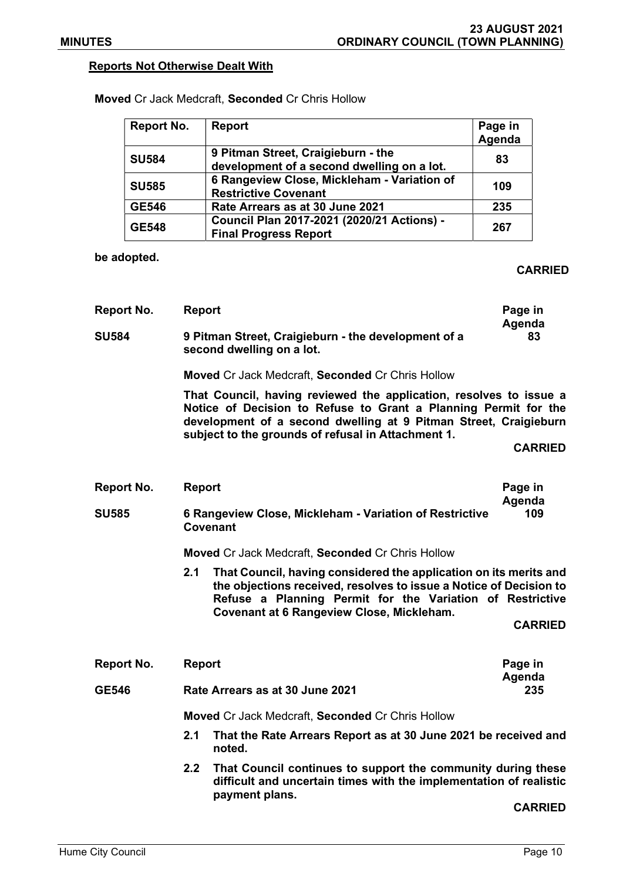## Reports Not Otherwise Dealt With

| <b>Report No.</b> | <b>Report</b>                                                                    | Page in<br>Agenda |
|-------------------|----------------------------------------------------------------------------------|-------------------|
| <b>SU584</b>      | 9 Pitman Street, Craigieburn - the<br>development of a second dwelling on a lot. | 83                |
| <b>SU585</b>      | 6 Rangeview Close, Mickleham - Variation of<br><b>Restrictive Covenant</b>       | 109               |
| <b>GE546</b>      | Rate Arrears as at 30 June 2021                                                  | 235               |
| <b>GE548</b>      | Council Plan 2017-2021 (2020/21 Actions) -<br><b>Final Progress Report</b>       | 267               |

Moved Cr Jack Medcraft, Seconded Cr Chris Hollow

be adopted.

## CARRIED

| <b>Report No.</b> | <b>Report</b>                                                                                                                                                                                                                                                   |                                                              | Page in        |  |
|-------------------|-----------------------------------------------------------------------------------------------------------------------------------------------------------------------------------------------------------------------------------------------------------------|--------------------------------------------------------------|----------------|--|
| <b>SU584</b>      | 9 Pitman Street, Craigieburn - the development of a<br>second dwelling on a lot.                                                                                                                                                                                |                                                              | Agenda<br>83   |  |
|                   | <b>Moved Cr Jack Medcraft, Seconded Cr Chris Hollow</b>                                                                                                                                                                                                         |                                                              |                |  |
|                   | That Council, having reviewed the application, resolves to issue a<br>Notice of Decision to Refuse to Grant a Planning Permit for the<br>development of a second dwelling at 9 Pitman Street, Craigieburn<br>subject to the grounds of refusal in Attachment 1. |                                                              |                |  |
|                   |                                                                                                                                                                                                                                                                 | <b>CARRIED</b>                                               |                |  |
| <b>Report No.</b> | <b>Report</b>                                                                                                                                                                                                                                                   |                                                              | Page in        |  |
|                   |                                                                                                                                                                                                                                                                 |                                                              | Agenda         |  |
| <b>SU585</b>      | 109<br>6 Rangeview Close, Mickleham - Variation of Restrictive<br>Covenant                                                                                                                                                                                      |                                                              |                |  |
|                   | <b>Moved Cr Jack Medcraft, Seconded Cr Chris Hollow</b>                                                                                                                                                                                                         |                                                              |                |  |
|                   | 2.1<br>That Council, having considered the application on its merits and<br>the objections received, resolves to issue a Notice of Decision to<br>Refuse a Planning Permit for the Variation of Restrictive<br><b>Covenant at 6 Rangeview Close, Mickleham.</b> |                                                              |                |  |
|                   |                                                                                                                                                                                                                                                                 |                                                              | <b>CARRIED</b> |  |
| Report No.        | <b>Report</b>                                                                                                                                                                                                                                                   |                                                              | Page in        |  |
| <b>GE546</b>      | Rate Arrears as at 30 June 2021                                                                                                                                                                                                                                 |                                                              | Agenda<br>235  |  |
|                   | <b>Moved Cr Jack Medcraft, Seconded Cr Chris Hollow</b>                                                                                                                                                                                                         |                                                              |                |  |
|                   | 2.1<br>That the Rate Arrears Report as at 30 June 2021 be received and<br>noted.                                                                                                                                                                                |                                                              |                |  |
|                   | 2.2                                                                                                                                                                                                                                                             | That Council continues to support the community during these |                |  |

2.2 That Council continues to support the community during these difficult and uncertain times with the implementation of realistic payment plans.